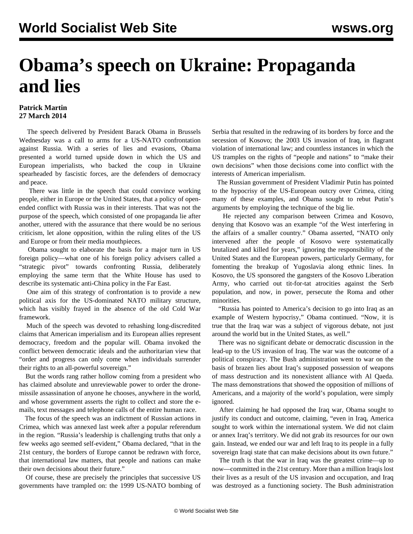## **Obama's speech on Ukraine: Propaganda and lies**

## **Patrick Martin 27 March 2014**

 The speech delivered by President Barack Obama in Brussels Wednesday was a call to arms for a US-NATO confrontation against Russia. With a series of lies and evasions, Obama presented a world turned upside down in which the US and European imperialists, who backed the coup in Ukraine spearheaded by fascistic forces, are the defenders of democracy and peace.

 There was little in the speech that could convince working people, either in Europe or the United States, that a policy of openended conflict with Russia was in their interests. That was not the purpose of the speech, which consisted of one propaganda lie after another, uttered with the assurance that there would be no serious criticism, let alone opposition, within the ruling elites of the US and Europe or from their media mouthpieces.

 Obama sought to elaborate the basis for a major turn in US foreign policy—what one of his foreign policy advisers called a "strategic pivot" towards confronting Russia, deliberately employing the same term that the White House has used to describe its systematic anti-China policy in the Far East.

 One aim of this strategy of confrontation is to provide a new political axis for the US-dominated NATO military structure, which has visibly frayed in the absence of the old Cold War framework.

 Much of the speech was devoted to rehashing long-discredited claims that American imperialism and its European allies represent democracy, freedom and the popular will. Obama invoked the conflict between democratic ideals and the authoritarian view that "order and progress can only come when individuals surrender their rights to an all-powerful sovereign."

 But the words rang rather hollow coming from a president who has claimed absolute and unreviewable power to order the dronemissile assassination of anyone he chooses, anywhere in the world, and whose government asserts the right to collect and store the emails, text messages and telephone calls of the entire human race.

 The focus of the speech was an indictment of Russian actions in Crimea, which was annexed last week after a popular referendum in the region. "Russia's leadership is challenging truths that only a few weeks ago seemed self-evident," Obama declared, "that in the 21st century, the borders of Europe cannot be redrawn with force, that international law matters, that people and nations can make their own decisions about their future."

 Of course, these are precisely the principles that successive US governments have trampled on: the 1999 US-NATO bombing of Serbia that resulted in the redrawing of its borders by force and the secession of Kosovo; the 2003 US invasion of Iraq, in flagrant violation of international law; and countless instances in which the US tramples on the rights of "people and nations" to "make their own decisions" when those decisions come into conflict with the interests of American imperialism.

 The Russian government of President Vladimir Putin has pointed to the hypocrisy of the US-European outcry over Crimea, citing many of these examples, and Obama sought to rebut Putin's arguments by employing the technique of the big lie.

 He rejected any comparison between Crimea and Kosovo, denying that Kosovo was an example "of the West interfering in the affairs of a smaller country." Obama asserted, "NATO only intervened after the people of Kosovo were systematically brutalized and killed for years," ignoring the responsibility of the United States and the European powers, particularly Germany, for fomenting the breakup of Yugoslavia along ethnic lines. In Kosovo, the US sponsored the gangsters of the Kosovo Liberation Army, who carried out tit-for-tat atrocities against the Serb population, and now, in power, persecute the Roma and other minorities.

 "Russia has pointed to America's decision to go into Iraq as an example of Western hypocrisy," Obama continued. "Now, it is true that the Iraq war was a subject of vigorous debate, not just around the world but in the United States, as well."

 There was no significant debate or democratic discussion in the lead-up to the US invasion of Iraq. The war was the outcome of a political conspiracy. The Bush administration went to war on the basis of brazen lies about Iraq's supposed possession of weapons of mass destruction and its nonexistent alliance with Al Qaeda. The mass demonstrations that showed the opposition of millions of Americans, and a majority of the world's population, were simply ignored.

 After claiming he had opposed the Iraq war, Obama sought to justify its conduct and outcome, claiming, "even in Iraq, America sought to work within the international system. We did not claim or annex Iraq's territory. We did not grab its resources for our own gain. Instead, we ended our war and left Iraq to its people in a fully sovereign Iraqi state that can make decisions about its own future."

 The truth is that the war in Iraq was the greatest crime—up to now—committed in the 21st century. More than a million Iraqis lost their lives as a result of the US invasion and occupation, and Iraq was destroyed as a functioning society. The Bush administration